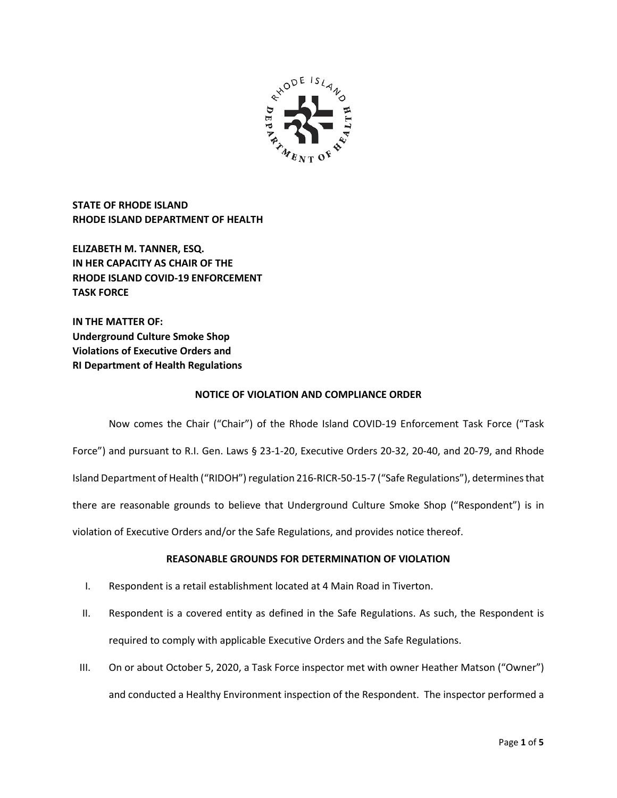

**STATE OF RHODE ISLAND RHODE ISLAND DEPARTMENT OF HEALTH**

**ELIZABETH M. TANNER, ESQ. IN HER CAPACITY AS CHAIR OF THE RHODE ISLAND COVID-19 ENFORCEMENT TASK FORCE** 

**IN THE MATTER OF: Underground Culture Smoke Shop Violations of Executive Orders and RI Department of Health Regulations**

## **NOTICE OF VIOLATION AND COMPLIANCE ORDER**

Now comes the Chair ("Chair") of the Rhode Island COVID-19 Enforcement Task Force ("Task Force") and pursuant to R.I. Gen. Laws § 23-1-20, Executive Orders 20-32, 20-40, and 20-79, and Rhode Island Department of Health ("RIDOH") regulation 216-RICR-50-15-7 ("Safe Regulations"), determines that there are reasonable grounds to believe that Underground Culture Smoke Shop ("Respondent") is in violation of Executive Orders and/or the Safe Regulations, and provides notice thereof.

# **REASONABLE GROUNDS FOR DETERMINATION OF VIOLATION**

- I. Respondent is a retail establishment located at 4 Main Road in Tiverton.
- II. Respondent is a covered entity as defined in the Safe Regulations. As such, the Respondent is required to comply with applicable Executive Orders and the Safe Regulations.
- III. On or about October 5, 2020, a Task Force inspector met with owner Heather Matson ("Owner") and conducted a Healthy Environment inspection of the Respondent. The inspector performed a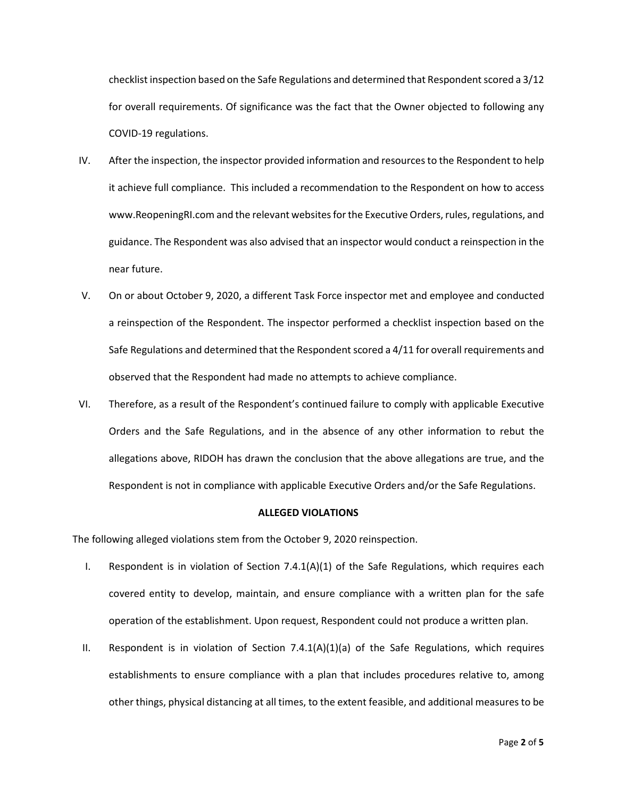checklist inspection based on the Safe Regulations and determined that Respondent scored a 3/12 for overall requirements. Of significance was the fact that the Owner objected to following any COVID-19 regulations.

- IV. After the inspection, the inspector provided information and resources to the Respondent to help it achieve full compliance. This included a recommendation to the Respondent on how to access www.ReopeningRI.com and the relevant websites for the Executive Orders, rules, regulations, and guidance. The Respondent was also advised that an inspector would conduct a reinspection in the near future.
- V. On or about October 9, 2020, a different Task Force inspector met and employee and conducted a reinspection of the Respondent. The inspector performed a checklist inspection based on the Safe Regulations and determined that the Respondent scored a 4/11 for overall requirements and observed that the Respondent had made no attempts to achieve compliance.
- VI. Therefore, as a result of the Respondent's continued failure to comply with applicable Executive Orders and the Safe Regulations, and in the absence of any other information to rebut the allegations above, RIDOH has drawn the conclusion that the above allegations are true, and the Respondent is not in compliance with applicable Executive Orders and/or the Safe Regulations.

### **ALLEGED VIOLATIONS**

The following alleged violations stem from the October 9, 2020 reinspection.

- I. Respondent is in violation of Section 7.4.1(A)(1) of the Safe Regulations, which requires each covered entity to develop, maintain, and ensure compliance with a written plan for the safe operation of the establishment. Upon request, Respondent could not produce a written plan.
- II. Respondent is in violation of Section 7.4.1(A)(1)(a) of the Safe Regulations, which requires establishments to ensure compliance with a plan that includes procedures relative to, among other things, physical distancing at all times, to the extent feasible, and additional measures to be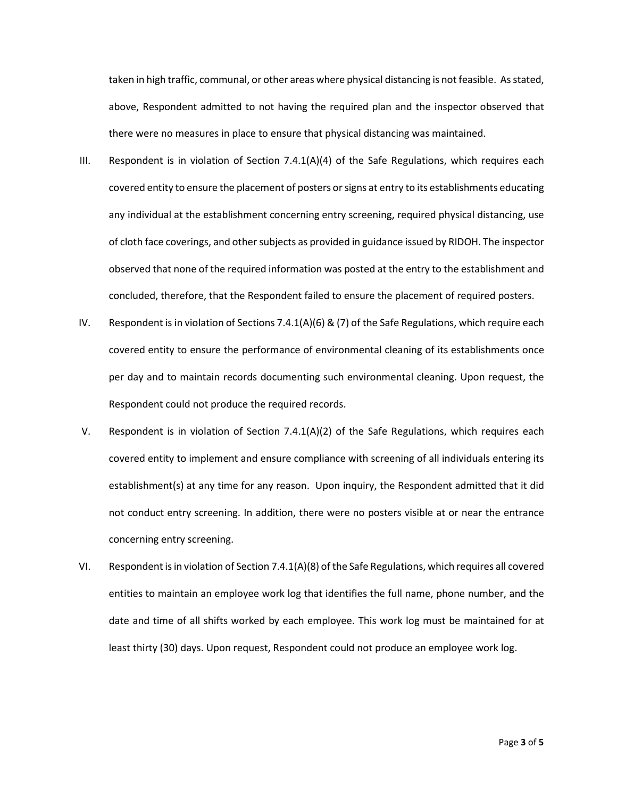taken in high traffic, communal, or other areas where physical distancing is not feasible. As stated, above, Respondent admitted to not having the required plan and the inspector observed that there were no measures in place to ensure that physical distancing was maintained.

- III. Respondent is in violation of Section 7.4.1(A)(4) of the Safe Regulations, which requires each covered entity to ensure the placement of posters or signs at entry to its establishments educating any individual at the establishment concerning entry screening, required physical distancing, use of cloth face coverings, and other subjects as provided in guidance issued by RIDOH. The inspector observed that none of the required information was posted at the entry to the establishment and concluded, therefore, that the Respondent failed to ensure the placement of required posters.
- IV. Respondent is in violation of Sections 7.4.1(A)(6) & (7) of the Safe Regulations, which require each covered entity to ensure the performance of environmental cleaning of its establishments once per day and to maintain records documenting such environmental cleaning. Upon request, the Respondent could not produce the required records.
- V. Respondent is in violation of Section 7.4.1(A)(2) of the Safe Regulations, which requires each covered entity to implement and ensure compliance with screening of all individuals entering its establishment(s) at any time for any reason. Upon inquiry, the Respondent admitted that it did not conduct entry screening. In addition, there were no posters visible at or near the entrance concerning entry screening.
- VI. Respondent is in violation of Section 7.4.1(A)(8) of the Safe Regulations, which requires all covered entities to maintain an employee work log that identifies the full name, phone number, and the date and time of all shifts worked by each employee. This work log must be maintained for at least thirty (30) days. Upon request, Respondent could not produce an employee work log.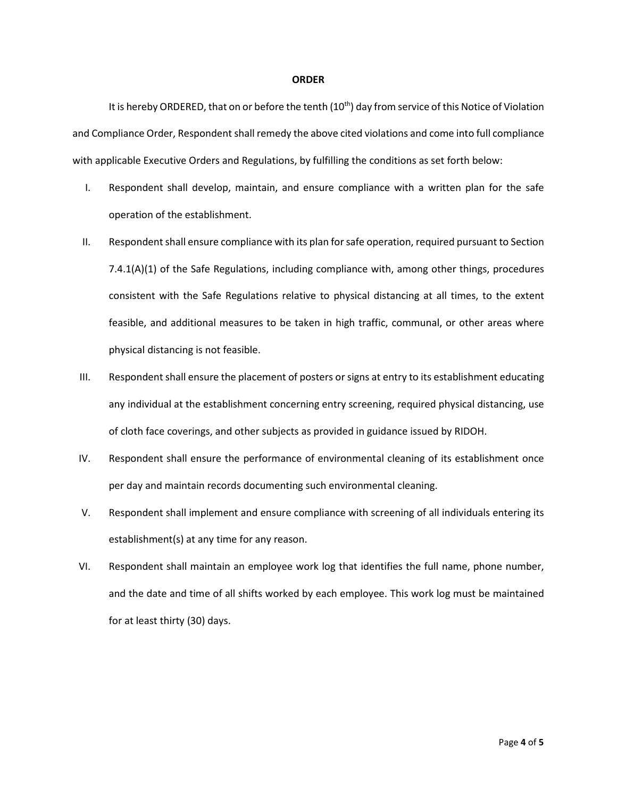#### **ORDER**

It is hereby ORDERED, that on or before the tenth (10<sup>th</sup>) day from service of this Notice of Violation and Compliance Order, Respondent shall remedy the above cited violations and come into full compliance with applicable Executive Orders and Regulations, by fulfilling the conditions as set forth below:

- I. Respondent shall develop, maintain, and ensure compliance with a written plan for the safe operation of the establishment.
- II. Respondent shall ensure compliance with its plan for safe operation, required pursuant to Section 7.4.1(A)(1) of the Safe Regulations, including compliance with, among other things, procedures consistent with the Safe Regulations relative to physical distancing at all times, to the extent feasible, and additional measures to be taken in high traffic, communal, or other areas where physical distancing is not feasible.
- III. Respondent shall ensure the placement of posters or signs at entry to its establishment educating any individual at the establishment concerning entry screening, required physical distancing, use of cloth face coverings, and other subjects as provided in guidance issued by RIDOH.
- IV. Respondent shall ensure the performance of environmental cleaning of its establishment once per day and maintain records documenting such environmental cleaning.
- V. Respondent shall implement and ensure compliance with screening of all individuals entering its establishment(s) at any time for any reason.
- VI. Respondent shall maintain an employee work log that identifies the full name, phone number, and the date and time of all shifts worked by each employee. This work log must be maintained for at least thirty (30) days.